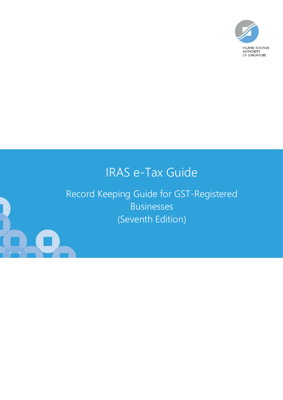

# IRAS e-Tax Guide

Record Keeping Guide for GST-Registered Businesses (Seventh Edition)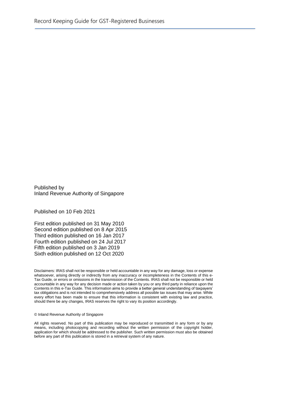Published by Inland Revenue Authority of Singapore

Published on 10 Feb 2021

First edition published on 31 May 2010 Second edition published on 8 Apr 2015 Third edition published on 16 Jan 2017 Fourth edition published on 24 Jul 2017 Fifth edition published on 3 Jan 2019 Sixth edition published on 12 Oct 2020

Disclaimers: IRAS shall not be responsible or held accountable in any way for any damage, loss or expense whatsoever, arising directly or indirectly from any inaccuracy or incompleteness in the Contents of this e-Tax Guide, or errors or omissions in the transmission of the Contents. IRAS shall not be responsible or held accountable in any way for any decision made or action taken by you or any third party in reliance upon the Contents in this e-Tax Guide. This information aims to provide a better general understanding of taxpayers' tax obligations and is not intended to comprehensively address all possible tax issues that may arise. While every effort has been made to ensure that this information is consistent with existing law and practice, should there be any changes, IRAS reserves the right to vary its position accordingly.

#### © Inland Revenue Authority of Singapore

All rights reserved. No part of this publication may be reproduced or transmitted in any form or by any means, including photocopying and recording without the written permission of the copyright holder, application for which should be addressed to the publisher. Such written permission must also be obtained before any part of this publication is stored in a retrieval system of any nature.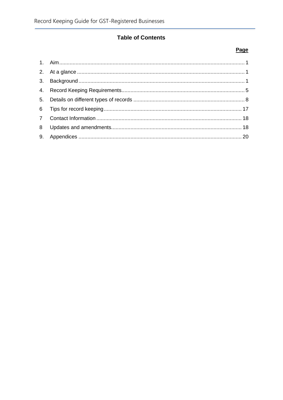## **Table of Contents**

#### Page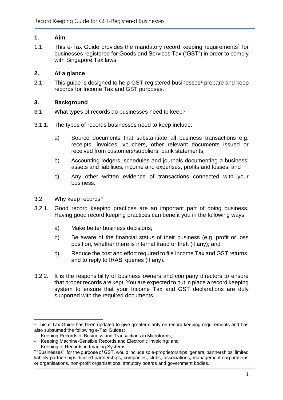### <span id="page-3-0"></span>**1. Aim**

1.1. This e-Tax Guide provides the mandatory record keeping requirements<sup>1</sup> for businesses registered for Goods and Services Tax ("GST") in order to comply with Singapore Tax laws.

### <span id="page-3-1"></span>**2. At a glance**

2.1. This guide is designed to help GST-registered businesses<sup>2</sup> prepare and keep records for Income Tax and GST purposes.

### <span id="page-3-2"></span>**3. Background**

- 3.1. What types of records do businesses need to keep?
- 3.1.1. The types of records businesses need to keep include:
	- a) Source documents that substantiate all business transactions e.g. receipts, invoices, vouchers, other relevant documents issued or received from customers/suppliers, bank statements;
	- b) Accounting ledgers, schedules and journals documenting a business' assets and liabilities, income and expenses, profits and losses; and
	- c) Any other written evidence of transactions connected with your business.
- 3.2. Why keep records?
- 3.2.1. Good record keeping practices are an important part of doing business. Having good record keeping practices can benefit you in the following ways:
	- a) Make better business decisions;
	- b) Be aware of the financial status of their business (e.g. profit or loss position, whether there is internal fraud or theft (if any); and
	- c) Reduce the cost and effort required to file Income Tax and GST returns, and to reply to IRAS' queries (if any).
- 3.2.2. It is the responsibility of business owners and company directors to ensure that proper records are kept. You are expected to put in place a record keeping system to ensure that your Income Tax and GST declarations are duly supported with the required documents.

<sup>&</sup>lt;sup>1</sup> This e-Tax Guide has been updated to give greater clarity on record keeping requirements and has also subsumed the following e-Tax Guides:

<sup>-</sup> Keeping Records of Business and Transactions in Microforms;

Keeping Machine-Sensible Records and Electronic Invoicing; and

<sup>-</sup> Keeping of Records in Imaging Systems.

<sup>2</sup> "Businesses", for the purpose of GST, would include sole-proprietorships, general partnerships, limited liability partnerships, limited partnerships, companies, clubs, associations, management corporations or organisations, non-profit organisations, statutory boards and government bodies.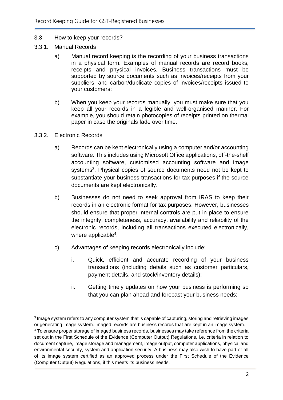#### 3.3. How to keep your records?

- 3.3.1. Manual Records
	- a) Manual record keeping is the recording of your business transactions in a physical form. Examples of manual records are record books, receipts and physical invoices. Business transactions must be supported by source documents such as invoices/receipts from your suppliers, and carbon/duplicate copies of invoices/receipts issued to your customers;
	- b) When you keep your records manually, you must make sure that you keep all your records in a legible and well-organised manner. For example, you should retain photocopies of receipts printed on thermal paper in case the originals fade over time.
- 3.3.2. Electronic Records
	- a) Records can be kept electronically using a computer and/or accounting software. This includes using Microsoft Office applications, off-the-shelf accounting software, customised accounting software and image systems<sup>3</sup>. Physical copies of source documents need not be kept to substantiate your business transactions for tax purposes if the source documents are kept electronically.
	- b) Businesses do not need to seek approval from IRAS to keep their records in an electronic format for tax purposes. However, businesses should ensure that proper internal controls are put in place to ensure the integrity, completeness, accuracy, availability and reliability of the electronic records, including all transactions executed electronically, where applicable<sup>4</sup>.
	- c) Advantages of keeping records electronically include:
		- i. Quick, efficient and accurate recording of your business transactions (including details such as customer particulars, payment details, and stock/inventory details);
		- ii. Getting timely updates on how your business is performing so that you can plan ahead and forecast your business needs;

<sup>&</sup>lt;sup>3</sup> Image system refers to any computer system that is capable of capturing, storing and retrieving images or generating image system. Imaged records are business records that are kept in an image system.

<sup>4</sup> To ensure proper storage of imaged business records, businesses may take reference from the criteria set out in the First Schedule of the Evidence (Computer Output) Regulations, i.e. criteria in relation to document capture, image storage and management, image output, computer applications, physical and environmental security, system and application security. A business may also wish to have part or all of its image system certified as an approved process under the First Schedule of the Evidence (Computer Output) Regulations, if this meets its business needs.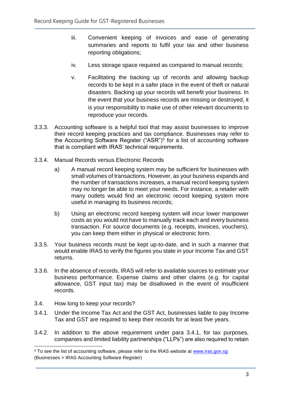- iii. Convenient keeping of invoices and ease of generating summaries and reports to fulfil your tax and other business reporting obligations;
- iv. Less storage space required as compared to manual records;
- v. Facilitating the backing up of records and allowing backup records to be kept in a safer place in the event of theft or natural disasters. Backing up your records will benefit your business. In the event that your business records are missing or destroyed, it is your responsibility to make use of other relevant documents to reproduce your records.
- 3.3.3. Accounting software is a helpful tool that may assist businesses to improve their record keeping practices and tax compliance. Businesses may refer to the Accounting Software Register ("ASR")<sup>5</sup> for a list of accounting software that is compliant with IRAS' technical requirements.
- 3.3.4. Manual Records versus Electronic Records
	- a) A manual record keeping system may be sufficient for businesses with small volumes of transactions. However, as your business expands and the number of transactions increases, a manual record keeping system may no longer be able to meet your needs. For instance, a retailer with many outlets would find an electronic record keeping system more useful in managing its business records;
	- b) Using an electronic record keeping system will incur lower manpower costs as you would not have to manually track each and every business transaction. For source documents (e.g. receipts, invoices, vouchers), you can keep them either in physical or electronic form.
- 3.3.5. Your business records must be kept up-to-date, and in such a manner that would enable IRAS to verify the figures you state in your Income Tax and GST returns.
- 3.3.6. In the absence of records, IRAS will refer to available sources to estimate your business performance. Expense claims and other claims (e.g. for capital allowance, GST input tax) may be disallowed in the event of insufficient records.
- 3.4. How long to keep your records?
- 3.4.1. Under the Income Tax Act and the GST Act, businesses liable to pay Income Tax and GST are required to keep their records for at least five years.
- 3.4.2. In addition to the above requirement under para 3.4.1, for tax purposes, companies and limited liability partnerships ("LLPs") are also required to retain

<sup>&</sup>lt;sup>5</sup> To see the list of accounting software, please refer to the IRAS website at www.iras.gov.sg (Businesses > IRAS Accounting Software Register)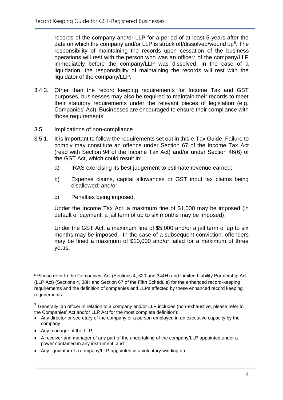records of the company and/or LLP for a period of at least 5 years after the date on which the company and/or LLP is struck off/dissolved/wound up $6$ . The responsibility of maintaining the records upon cessation of the business operations will rest with the person who was an officer<sup>7</sup> of the company/LLP immediately before the company/LLP was dissolved. In the case of a liquidation, the responsibility of maintaining the records will rest with the liquidator of the company/LLP.

- 3.4.3. Other than the record keeping requirements for Income Tax and GST purposes, businesses may also be required to maintain their records to meet their statutory requirements under the relevant pieces of legislation (e.g. Companies' Act). Businesses are encouraged to ensure their compliance with those requirements.
- 3.5. Implications of non-compliance
- 3.5.1. It is important to follow the requirements set out in this e-Tax Guide. Failure to comply may constitute an offence under Section 67 of the Income Tax Act (read with Section 94 of the Income Tax Act) and/or under Section 46(6) of the GST Act, which could result in:
	- a) IRAS exercising its best judgement to estimate revenue earned;
	- b) Expense claims, capital allowances or GST input tax claims being disallowed; and/or
	- c) Penalties being imposed.

Under the Income Tax Act, a maximum fine of \$1,000 may be imposed (in default of payment, a jail term of up to six months may be imposed).

Under the GST Act, a maximum fine of \$5,000 and/or a jail term of up to six months may be imposed. In the case of a subsequent conviction, offenders may be fined a maximum of \$10,000 and/or jailed for a maximum of three years.

- Any director or secretary of the company or a person employed in an executive capacity by the company
- Any manager of the LLP
- A receiver and manager of any part of the undertaking of the company/LLP appointed under a power contained in any instrument: and
- Any liquidator of a company/LLP appointed in a voluntary winding up

<sup>6</sup> Please refer to the Companies' Act (Sections 4, 320 and 344H) and Limited Liability Partnership Act (LLP Act) (Sections 4, 38H and Section 67 of the Fifth Schedule) for the enhanced record-keeping requirements and the definition of companies and LLPs affected by these enhanced record keeping requirements.

 $7$  Generally, an officer in relation to a company and/or LLP includes (non-exhaustive, please refer to the Companies' Act and/or LLP Act for the most complete definition):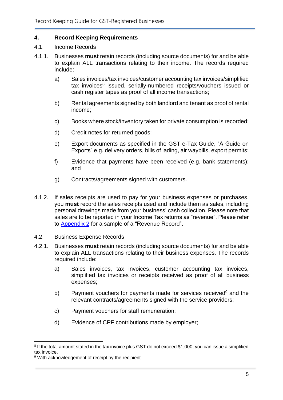#### <span id="page-7-0"></span>**4. Record Keeping Requirements**

- 4.1. Income Records
- 4.1.1. Businesses **must** retain records (including source documents) for and be able to explain ALL transactions relating to their income. The records required include:
	- a) Sales invoices/tax invoices/customer accounting tax invoices/simplified tax invoices<sup>8</sup> issued, serially-numbered receipts/vouchers issued or cash register tapes as proof of all income transactions;
	- b) Rental agreements signed by both landlord and tenant as proof of rental income;
	- c) Books where stock/inventory taken for private consumption is recorded;
	- d) Credit notes for returned goods;
	- e) Export documents as specified in the GST e-Tax Guide, "A Guide on Exports" e.g. delivery orders, bills of lading, air waybills, export permits;
	- f) Evidence that payments have been received (e.g. bank statements); and
	- g) Contracts/agreements signed with customers.
- 4.1.2. If sales receipts are used to pay for your business expenses or purchases, you **must** record the sales receipts used and include them as sales, including personal drawings made from your business' cash collection. Please note that sales are to be reported in your Income Tax returns as "revenue". Please refer to [Appendix 2](#page-22-0) for a sample of a "Revenue Record".
- 4.2. Business Expense Records
- 4.2.1. Businesses **must** retain records (including source documents) for and be able to explain ALL transactions relating to their business expenses. The records required include:
	- a) Sales invoices, tax invoices, customer accounting tax invoices, simplified tax invoices or receipts received as proof of all business expenses;
	- b) Payment vouchers for payments made for services received<sup>9</sup> and the relevant contracts/agreements signed with the service providers;
	- c) Payment vouchers for staff remuneration;
	- d) Evidence of CPF contributions made by employer;

<sup>&</sup>lt;sup>8</sup> If the total amount stated in the tax invoice plus GST do not exceed \$1,000, you can issue a simplified tax invoice.

<sup>&</sup>lt;sup>9</sup> With acknowledgement of receipt by the recipient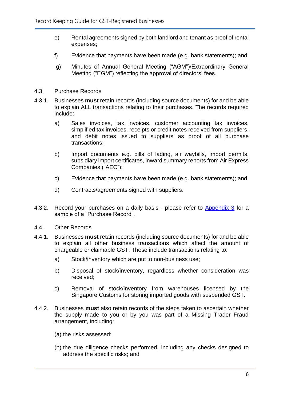- e) Rental agreements signed by both landlord and tenant as proof of rental expenses;
- f) Evidence that payments have been made (e.g. bank statements); and
- g) Minutes of Annual General Meeting ("AGM")/Extraordinary General Meeting ("EGM") reflecting the approval of directors' fees.
- 4.3. Purchase Records
- 4.3.1. Businesses **must** retain records (including source documents) for and be able to explain ALL transactions relating to their purchases. The records required include:
	- a) Sales invoices, tax invoices, customer accounting tax invoices, simplified tax invoices, receipts or credit notes received from suppliers, and debit notes issued to suppliers as proof of all purchase transactions;
	- b) Import documents e.g. bills of lading, air waybills, import permits, subsidiary import certificates, inward summary reports from Air Express Companies ("AEC");
	- c) Evidence that payments have been made (e.g. bank statements); and
	- d) Contracts/agreements signed with suppliers.
- 4.3.2. Record your purchases on a daily basis please refer to [Appendix 3](#page-22-0) for a sample of a "Purchase Record".
- 4.4. Other Records
- 4.4.1. Businesses **must** retain records (including source documents) for and be able to explain all other business transactions which affect the amount of chargeable or claimable GST. These include transactions relating to:
	- a) Stock/inventory which are put to non-business use;
	- b) Disposal of stock/inventory, regardless whether consideration was received;
	- c) Removal of stock/inventory from warehouses licensed by the Singapore Customs for storing imported goods with suspended GST.
- 4.4.2. Businesses **must** also retain records of the steps taken to ascertain whether the supply made to you or by you was part of a Missing Trader Fraud arrangement, including:
	- (a) the risks assessed;
	- (b) the due diligence checks performed, including any checks designed to address the specific risks; and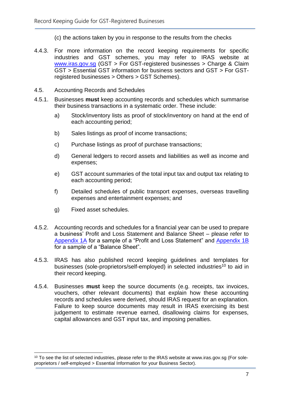(c) the actions taken by you in response to the results from the checks

- 4.4.3. For more information on the record keeping requirements for specific industries and GST schemes, you may refer to IRAS website at [www.iras.gov.sg](http://www.iras.gov.sg/) (GST > For GST-registered businesses > Charge & Claim GST > Essential GST information for business sectors and GST > For GSTregistered businesses > Others > GST Schemes).
- 4.5. Accounting Records and Schedules
- 4.5.1. Businesses **must** keep accounting records and schedules which summarise their business transactions in a systematic order. These include:
	- a) Stock/inventory lists as proof of stock/inventory on hand at the end of each accounting period;
	- b) Sales listings as proof of income transactions;
	- c) Purchase listings as proof of purchase transactions;
	- d) General ledgers to record assets and liabilities as well as income and expenses;
	- e) GST account summaries of the total input tax and output tax relating to each accounting period;
	- f) Detailed schedules of public transport expenses, overseas travelling expenses and entertainment expenses; and
	- g) Fixed asset schedules.
- 4.5.2. Accounting records and schedules for a financial year can be used to prepare a business' Profit and Loss Statement and Balance Sheet – please refer to [Appendix 1A](#page-22-0) for a sample of a "Profit and Loss Statement" and [Appendix 1B](#page-22-0) for a sample of a "Balance Sheet".
- 4.5.3. IRAS has also published record keeping guidelines and templates for businesses (sole-proprietors/self-employed) in selected industries<sup>10</sup> to aid in their record keeping.
- 4.5.4. Businesses **must** keep the source documents (e.g. receipts, tax invoices, vouchers, other relevant documents) that explain how these accounting records and schedules were derived, should IRAS request for an explanation. Failure to keep source documents may result in IRAS exercising its best judgement to estimate revenue earned, disallowing claims for expenses, capital allowances and GST input tax, and imposing penalties.

<sup>&</sup>lt;sup>10</sup> To see the list of selected industries, please refer to the IRAS website at www.iras.gov.sg (For soleproprietors / self-employed > Essential Information for your Business Sector).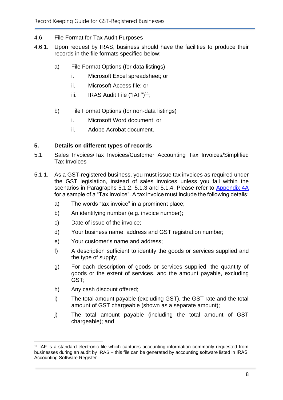- 4.6. File Format for Tax Audit Purposes
- 4.6.1. Upon request by IRAS, business should have the facilities to produce their records in the file formats specified below:
	- a) File Format Options (for data listings)
		- i. Microsoft Excel spreadsheet; or
		- ii. Microsoft Access file; or
		- iii. IRAS Audit File ("IAF")<sup>11</sup>;
	- b) File Format Options (for non-data listings)
		- i. Microsoft Word document; or
		- ii. Adobe Acrobat document.

#### <span id="page-10-0"></span>**5. Details on different types of records**

- 5.1. Sales Invoices/Tax Invoices/Customer Accounting Tax Invoices/Simplified Tax Invoices
- 5.1.1. As a GST-registered business, you must issue tax invoices as required under the GST legislation, instead of sales invoices unless you fall within the scenarios in Paragraphs 5.1.2, 5.1.3 and 5.1.4. Please refer to [Appendix 4A](#page-22-0) for a sample of a "Tax Invoice". A tax invoice must include the following details:
	- a) The words "tax invoice" in a prominent place;
	- b) An identifying number (e.g. invoice number);
	- c) Date of issue of the invoice;
	- d) Your business name, address and GST registration number;
	- e) Your customer's name and address;
	- f) A description sufficient to identify the goods or services supplied and the type of supply;
	- g) For each description of goods or services supplied, the quantity of goods or the extent of services, and the amount payable, excluding GST;
	- h) Any cash discount offered;
	- i) The total amount payable (excluding GST), the GST rate and the total amount of GST chargeable (shown as a separate amount);
	- j) The total amount payable (including the total amount of GST chargeable); and

<sup>11</sup> IAF is a standard electronic file which captures accounting information commonly requested from businesses during an audit by IRAS – this file can be generated by accounting software listed in IRAS' Accounting Software Register.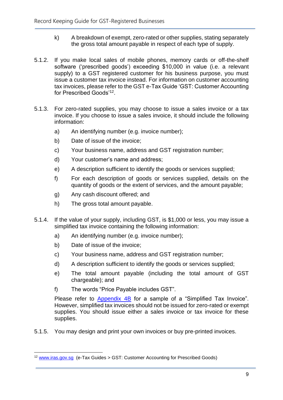- k) A breakdown of exempt, zero-rated or other supplies, stating separately the gross total amount payable in respect of each type of supply.
- 5.1.2. If you make local sales of mobile phones, memory cards or off-the-shelf software ('prescribed goods') exceeding \$10,000 in value (i.e. a relevant supply) to a GST registered customer for his business purpose, you must issue a customer tax invoice instead. For information on customer accounting tax invoices, please refer to the GST e-Tax Guide 'GST: Customer Accounting for Prescribed Goods'<sup>12</sup>.
- 5.1.3. For zero-rated supplies, you may choose to issue a sales invoice or a tax invoice. If you choose to issue a sales invoice, it should include the following information:
	- a) An identifying number (e.g. invoice number);
	- b) Date of issue of the invoice;
	- c) Your business name, address and GST registration number;
	- d) Your customer's name and address;
	- e) A description sufficient to identify the goods or services supplied;
	- f) For each description of goods or services supplied, details on the quantity of goods or the extent of services, and the amount payable;
	- g) Any cash discount offered; and
	- h) The gross total amount payable.
- 5.1.4. If the value of your supply, including GST, is \$1,000 or less, you may issue a simplified tax invoice containing the following information:
	- a) An identifying number (e.g. invoice number);
	- b) Date of issue of the invoice;
	- c) Your business name, address and GST registration number;
	- d) A description sufficient to identify the goods or services supplied;
	- e) The total amount payable (including the total amount of GST chargeable); and
	- f) The words "Price Payable includes GST".

Please refer to [Appendix 4B](#page-22-0) for a sample of a "Simplified Tax Invoice". However, simplified tax invoices should not be issued for zero-rated or exempt supplies. You should issue either a sales invoice or tax invoice for these supplies.

5.1.5. You may design and print your own invoices or buy pre-printed invoices.

<sup>12</sup> [www.iras.gov.sg](http://www.iras.gov.sg/) (e-Tax Guides > GST: Customer Accounting for Prescribed Goods)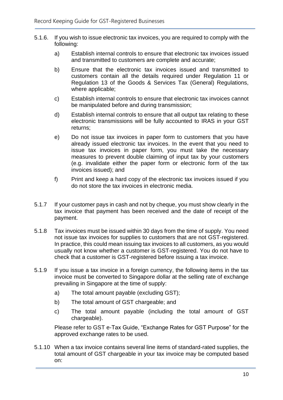- 5.1.6. If you wish to issue electronic tax invoices, you are required to comply with the following:
	- a) Establish internal controls to ensure that electronic tax invoices issued and transmitted to customers are complete and accurate;
	- b) Ensure that the electronic tax invoices issued and transmitted to customers contain all the details required under Regulation 11 or Regulation 13 of the Goods & Services Tax (General) Regulations, where applicable;
	- c) Establish internal controls to ensure that electronic tax invoices cannot be manipulated before and during transmission;
	- d) Establish internal controls to ensure that all output tax relating to these electronic transmissions will be fully accounted to IRAS in your GST returns;
	- e) Do not issue tax invoices in paper form to customers that you have already issued electronic tax invoices. In the event that you need to issue tax invoices in paper form, you must take the necessary measures to prevent double claiming of input tax by your customers (e.g. invalidate either the paper form or electronic form of the tax invoices issued); and
	- f) Print and keep a hard copy of the electronic tax invoices issued if you do not store the tax invoices in electronic media.
- 5.1.7 If your customer pays in cash and not by cheque, you must show clearly in the tax invoice that payment has been received and the date of receipt of the payment.
- 5.1.8 Tax invoices must be issued within 30 days from the time of supply. You need not issue tax invoices for supplies to customers that are not GST-registered. In practice, this could mean issuing tax invoices to all customers, as you would usually not know whether a customer is GST-registered. You do not have to check that a customer is GST-registered before issuing a tax invoice.
- 5.1.9 If you issue a tax invoice in a foreign currency, the following items in the tax invoice must be converted to Singapore dollar at the selling rate of exchange prevailing in Singapore at the time of supply:
	- a) The total amount payable (excluding GST);
	- b) The total amount of GST chargeable; and
	- c) The total amount payable (including the total amount of GST chargeable).

Please refer to GST e-Tax Guide, "Exchange Rates for GST Purpose" for the approved exchange rates to be used.

5.1.10 When a tax invoice contains several line items of standard-rated supplies, the total amount of GST chargeable in your tax invoice may be computed based on: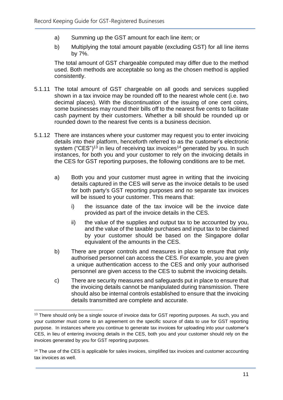- a) Summing up the GST amount for each line item; or
- b) Multiplying the total amount payable (excluding GST) for all line items by 7%.

The total amount of GST chargeable computed may differ due to the method used. Both methods are acceptable so long as the chosen method is applied consistently.

- 5.1.11 The total amount of GST chargeable on all goods and services supplied shown in a tax invoice may be rounded off to the nearest whole cent (i.e. two decimal places). With the discontinuation of the issuing of one cent coins, some businesses may round their bills off to the nearest five cents to facilitate cash payment by their customers. Whether a bill should be rounded up or rounded down to the nearest five cents is a business decision.
- 5.1.12 There are instances where your customer may request you to enter invoicing details into their platform, henceforth referred to as the customer's electronic system ("CES")<sup>13</sup> in lieu of receiving tax invoices<sup>14</sup> generated by you. In such instances, for both you and your customer to rely on the invoicing details in the CES for GST reporting purposes, the following conditions are to be met.
	- a) Both you and your customer must agree in writing that the invoicing details captured in the CES will serve as the invoice details to be used for both party's GST reporting purposes and no separate tax invoices will be issued to your customer. This means that:
		- i) the issuance date of the tax invoice will be the invoice date provided as part of the invoice details in the CES.
		- ii) the value of the supplies and output tax to be accounted by you, and the value of the taxable purchases and input tax to be claimed by your customer should be based on the Singapore dollar equivalent of the amounts in the CES.
	- b) There are proper controls and measures in place to ensure that only authorised personnel can access the CES. For example, you are given a unique authentication access to the CES and only your authorised personnel are given access to the CES to submit the invoicing details.
	- c) There are security measures and safeguards put in place to ensure that the invoicing details cannot be manipulated during transmission. There should also be internal controls established to ensure that the invoicing details transmitted are complete and accurate.

<sup>&</sup>lt;sup>13</sup> There should only be a single source of invoice data for GST reporting purposes. As such, you and your customer must come to an agreement on the specific source of data to use for GST reporting purpose. In instances where you continue to generate tax invoices for uploading into your customer's CES, in lieu of entering invoicing details in the CES, both you and your customer should rely on the invoices generated by you for GST reporting purposes.

<sup>&</sup>lt;sup>14</sup> The use of the CES is applicable for sales invoices, simplified tax invoices and customer accounting tax invoices as well.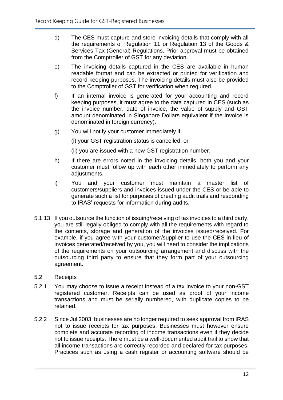- d) The CES must capture and store invoicing details that comply with all the requirements of Regulation 11 or Regulation 13 of the Goods & Services Tax (General) Regulations. Prior approval must be obtained from the Comptroller of GST for any deviation.
- e) The invoicing details captured in the CES are available in human readable format and can be extracted or printed for verification and record keeping purposes. The invoicing details must also be provided to the Comptroller of GST for verification when required.
- f) If an internal invoice is generated for your accounting and record keeping purposes, it must agree to the data captured in CES (such as the invoice number, date of invoice, the value of supply and GST amount denominated in Singapore Dollars equivalent if the invoice is denominated in foreign currency).
- g) You will notify your customer immediately if:

(i) your GST registration status is cancelled; or

(ii) you are issued with a new GST registration number.

- h) If there are errors noted in the invoicing details, both you and your customer must follow up with each other immediately to perform any adjustments.
- i) You and your customer must maintain a master list of customers/suppliers and invoices issued under the CES or be able to generate such a list for purposes of creating audit trails and responding to IRAS' requests for information during audits.
- 5.1.13 If you outsource the function of issuing/receiving of tax invoices to a third party, you are still legally obliged to comply with all the requirements with regard to the contents, storage and generation of the invoices issued/received. For example, if you agree with your customer/supplier to use the CES in lieu of invoices generated/received by you, you will need to consider the implications of the requirements on your outsourcing arrangement and discuss with the outsourcing third party to ensure that they form part of your outsourcing agreement.
- 5.2 Receipts
- 5.2.1 You may choose to issue a receipt instead of a tax invoice to your non-GST registered customer. Receipts can be used as proof of your income transactions and must be serially numbered, with duplicate copies to be retained.
- 5.2.2 Since Jul 2003, businesses are no longer required to seek approval from IRAS not to issue receipts for tax purposes. Businesses must however ensure complete and accurate recording of income transactions even if they decide not to issue receipts. There must be a well-documented audit trail to show that all income transactions are correctly recorded and declared for tax purposes. Practices such as using a cash register or accounting software should be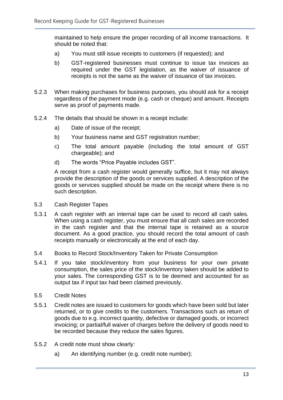maintained to help ensure the proper recording of all income transactions. It should be noted that:

- a) You must still issue receipts to customers (if requested); and
- b) GST-registered businesses must continue to issue tax invoices as required under the GST legislation, as the waiver of issuance of receipts is not the same as the waiver of issuance of tax invoices.
- 5.2.3 When making purchases for business purposes, you should ask for a receipt regardless of the payment mode (e.g. cash or cheque) and amount. Receipts serve as proof of payments made.
- 5.2.4 The details that should be shown in a receipt include:
	- a) Date of issue of the receipt;
	- b) Your business name and GST registration number;
	- c) The total amount payable (including the total amount of GST chargeable); and
	- d) The words "Price Payable includes GST".

A receipt from a cash register would generally suffice, but it may not always provide the description of the goods or services supplied. A description of the goods or services supplied should be made on the receipt where there is no such description.

- 5.3 Cash Register Tapes
- 5.3.1 A cash register with an internal tape can be used to record all cash sales. When using a cash register, you must ensure that all cash sales are recorded in the cash register and that the internal tape is retained as a source document. As a good practice, you should record the total amount of cash receipts manually or electronically at the end of each day.
- 5.4 Books to Record Stock/Inventory Taken for Private Consumption
- 5.4.1 If you take stock/inventory from your business for your own private consumption, the sales price of the stock/inventory taken should be added to your sales. The corresponding GST is to be deemed and accounted for as output tax if input tax had been claimed previously.
- 5.5 Credit Notes
- 5.5.1 Credit notes are issued to customers for goods which have been sold but later returned, or to give credits to the customers. Transactions such as return of goods due to e.g. incorrect quantity, defective or damaged goods, or incorrect invoicing; or partial/full waiver of charges before the delivery of goods need to be recorded because they reduce the sales figures.
- 5.5.2 A credit note must show clearly:
	- a) An identifying number (e.g. credit note number);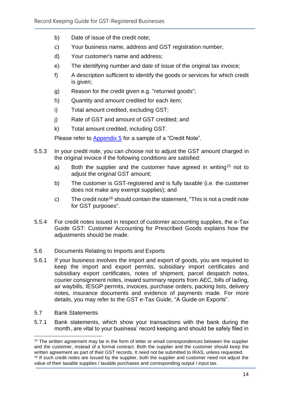- b) Date of issue of the credit note;
- c) Your business name, address and GST registration number;
- d) Your customer's name and address;
- e) The identifying number and date of issue of the original tax invoice;
- f) A description sufficient to identify the goods or services for which credit is given;
- g) Reason for the credit given e.g. "returned goods";
- h) Quantity and amount credited for each item;
- i) Total amount credited, excluding GST;
- j) Rate of GST and amount of GST credited; and
- k) Total amount credited, including GST.

Please refer to [Appendix 5](#page-22-0) for a sample of a "Credit Note".

- 5.5.3 In your credit note, you can choose not to adjust the GST amount charged in the original invoice if the following conditions are satisfied:
	- a) Both the supplier and the customer have agreed in writing<sup>15</sup> not to adjust the original GST amount;
	- b) The customer is GST-registered and is fully taxable (i.e. the customer does not make any exempt supplies); and
	- c) The credit note<sup>16</sup> should contain the statement, "This is not a credit note for GST purposes".
- 5.5.4 For credit notes issued in respect of customer accounting supplies, the e-Tax Guide GST: Customer Accounting for Prescribed Goods explains how the adjustments should be made.
- 5.6 Documents Relating to Imports and Exports
- 5.6.1 If your business involves the import and export of goods, you are required to keep the import and export permits, subsidiary import certificates and subsidiary export certificates, notes of shipment, parcel despatch notes, courier consignment notes, inward summary reports from AEC, bills of lading, air waybills, IESGP permits, invoices, purchase orders, packing lists, delivery notes, insurance documents and evidence of payments made. For more details, you may refer to the GST e-Tax Guide, "A Guide on Exports".
- 5.7 Bank Statements
- 5.7.1 Bank statements, which show your transactions with the bank during the month, are vital to your business' record keeping and should be safely filed in

<sup>&</sup>lt;sup>15</sup> The written agreement may be in the form of letter or email correspondences between the supplier and the customer, instead of a formal contract. Both the supplier and the customer should keep the written agreement as part of their GST records. It need not be submitted to IRAS, unless requested. <sup>16</sup> If such credit notes are issued by the supplier, both the supplier and customer need not adjust the value of their taxable supplies / taxable purchases and corresponding output / input tax.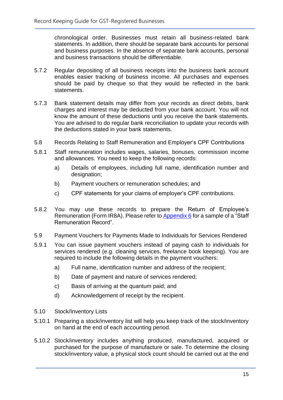chronological order. Businesses must retain all business-related bank statements. In addition, there should be separate bank accounts for personal and business purposes. In the absence of separate bank accounts, personal and business transactions should be differentiable.

- 5.7.2 Regular depositing of all business receipts into the business bank account enables easier tracking of business income. All purchases and expenses should be paid by cheque so that they would be reflected in the bank statements.
- 5.7.3 Bank statement details may differ from your records as direct debits, bank charges and interest may be deducted from your bank account. You will not know the amount of these deductions until you receive the bank statements. You are advised to do regular bank reconciliation to update your records with the deductions stated in your bank statements.
- 5.8 Records Relating to Staff Remuneration and Employer's CPF Contributions
- 5.8.1 Staff remuneration includes wages, salaries, bonuses, commission income and allowances. You need to keep the following records:
	- a) Details of employees, including full name, identification number and designation:
	- b) Payment vouchers or remuneration schedules; and
	- c) CPF statements for your claims of employer's CPF contributions.
- 5.8.2 You may use these records to prepare the Return of Employee's Remuneration (Form IR8A). Please refer to [Appendix 6](#page-22-0) for a sample of a "Staff Remuneration Record".
- 5.9 Payment Vouchers for Payments Made to Individuals for Services Rendered
- 5.9.1 You can issue payment vouchers instead of paying cash to individuals for services rendered (e.g. cleaning services, freelance book keeping). You are required to include the following details in the payment vouchers:
	- a) Full name, identification number and address of the recipient;
	- b) Date of payment and nature of services rendered;
	- c) Basis of arriving at the quantum paid; and
	- d) Acknowledgement of receipt by the recipient.
- 5.10 Stock/Inventory Lists
- 5.10.1 Preparing a stock/inventory list will help you keep track of the stock/inventory on hand at the end of each accounting period.
- 5.10.2 Stock/inventory includes anything produced, manufactured, acquired or purchased for the purpose of manufacture or sale. To determine the closing stock/inventory value, a physical stock count should be carried out at the end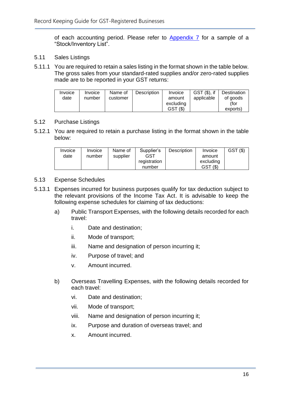of each accounting period. Please refer to [Appendix 7](#page-22-0) for a sample of a "Stock/Inventory List".

- 5.11 Sales Listings
- 5.11.1 You are required to retain a sales listing in the format shown in the table below. The gross sales from your standard-rated supplies and/or zero-rated supplies made are to be reported in your GST returns:

| Invoice | Invoice | Name of  | <b>Description</b> | Invoice   | GST (\$), if | Destination |
|---------|---------|----------|--------------------|-----------|--------------|-------------|
| date    | number  | customer |                    | amount    | applicable   | of goods    |
|         |         |          |                    | excluding |              | (for        |
|         |         |          |                    | GST(S)    |              | exports)    |

#### 5.12 Purchase Listings

5.12.1 You are required to retain a purchase listing in the format shown in the table below:

| Invoice | Invoice | Name of  | Supplier's   | Description | Invoice    | GST(S) |
|---------|---------|----------|--------------|-------------|------------|--------|
| date    | number  | supplier | GST          |             | amount     |        |
|         |         |          | registration |             | excluding  |        |
|         |         |          | number       |             | (5)<br>GST |        |

### 5.13 Expense Schedules

- 5.13.1 Expenses incurred for business purposes qualify for tax deduction subject to the relevant provisions of the Income Tax Act. It is advisable to keep the following expense schedules for claiming of tax deductions:
	- a) Public Transport Expenses, with the following details recorded for each travel:
		- i. Date and destination;
		- ii. Mode of transport;
		- iii. Name and designation of person incurring it;
		- iv. Purpose of travel; and
		- v. Amount incurred.
	- b) Overseas Travelling Expenses, with the following details recorded for each travel:
		- vi. Date and destination;
		- vii. Mode of transport;
		- viii. Name and designation of person incurring it;
		- ix. Purpose and duration of overseas travel; and
		- x. Amount incurred.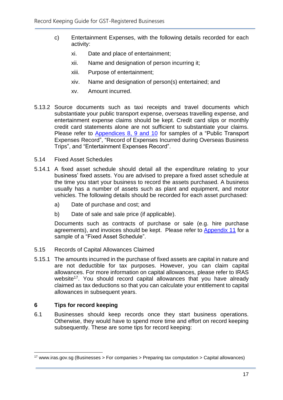- c) Entertainment Expenses, with the following details recorded for each activity:
	- xi. Date and place of entertainment;
	- xii. Name and designation of person incurring it;
	- xiii. Purpose of entertainment;
	- xiv. Name and designation of person(s) entertained; and
	- xv. Amount incurred.
- 5.13.2 Source documents such as taxi receipts and travel documents which substantiate your public transport expense, overseas travelling expense, and entertainment expense claims should be kept. Credit card slips or monthly credit card statements alone are not sufficient to substantiate your claims. Please refer to [Appendices 8, 9 and 10](#page-22-0) for samples of a "Public Transport Expenses Record", "Record of Expenses Incurred during Overseas Business Trips", and "Entertainment Expenses Record".
- 5.14 Fixed Asset Schedules
- 5.14.1 A fixed asset schedule should detail all the expenditure relating to your business' fixed assets. You are advised to prepare a fixed asset schedule at the time you start your business to record the assets purchased. A business usually has a number of assets such as plant and equipment, and motor vehicles. The following details should be recorded for each asset purchased:
	- a) Date of purchase and cost; and
	- b) Date of sale and sale price (if applicable).

Documents such as contracts of purchase or sale (e.g. hire purchase agreements), and invoices should be kept. Please refer to [Appendix 11](#page-22-0) for a sample of a "Fixed Asset Schedule".

- 5.15 Records of Capital Allowances Claimed
- 5.15.1 The amounts incurred in the purchase of fixed assets are capital in nature and are not deductible for tax purposes. However, you can claim capital allowances. For more information on capital allowances, please refer to IRAS website<sup>17</sup>. You should record capital allowances that you have already claimed as tax deductions so that you can calculate your entitlement to capital allowances in subsequent years.

#### <span id="page-19-0"></span>**6 Tips for record keeping**

6.1 Businesses should keep records once they start business operations. Otherwise, they would have to spend more time and effort on record keeping subsequently. These are some tips for record keeping:

 $17$  www.iras.gov.sg (Businesses > For companies > Preparing tax computation > Capital allowances)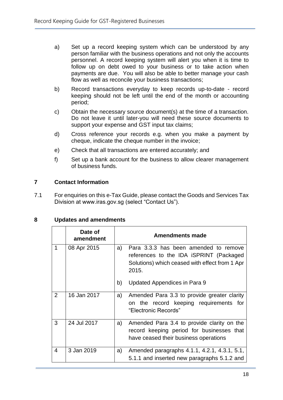- a) Set up a record keeping system which can be understood by any person familiar with the business operations and not only the accounts personnel. A record keeping system will alert you when it is time to follow up on debt owed to your business or to take action when payments are due. You will also be able to better manage your cash flow as well as reconcile your business transactions;
- b) Record transactions everyday to keep records up-to-date record keeping should not be left until the end of the month or accounting period;
- c) Obtain the necessary source document(s) at the time of a transaction. Do not leave it until later-you will need these source documents to support your expense and GST input tax claims;
- d) Cross reference your records e.g. when you make a payment by cheque, indicate the cheque number in the invoice;
- e) Check that all transactions are entered accurately; and
- f) Set up a bank account for the business to allow clearer management of business funds.

### <span id="page-20-0"></span>**7 Contact Information**

7.1 For enquiries on this e-Tax Guide, please contact the Goods and Services Tax Division at www.iras.gov.sg (select "Contact Us").

#### <span id="page-20-1"></span>**8 Updates and amendments**

|   | Date of<br>amendment |    | <b>Amendments made</b>                                                                                                                      |
|---|----------------------|----|---------------------------------------------------------------------------------------------------------------------------------------------|
| 1 | 08 Apr 2015          | a) | Para 3.3.3 has been amended to remove<br>references to the IDA iSPRINT (Packaged<br>Solutions) which ceased with effect from 1 Apr<br>2015. |
|   |                      | b) | Updated Appendices in Para 9                                                                                                                |
| 2 | 16 Jan 2017          | a) | Amended Para 3.3 to provide greater clarity<br>on the record keeping requirements for<br>"Electronic Records"                               |
| 3 | 24 Jul 2017          | a) | Amended Para 3.4 to provide clarity on the<br>record keeping period for businesses that<br>have ceased their business operations            |
| 4 | 3 Jan 2019           | a) | Amended paragraphs 4.1.1, 4.2.1, 4.3.1, 5.1,<br>5.1.1 and inserted new paragraphs 5.1.2 and                                                 |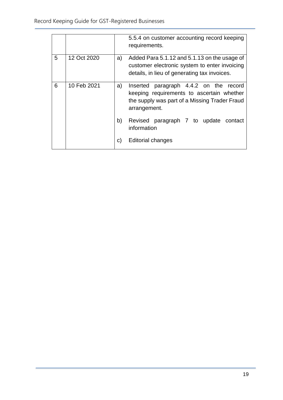|   |             |    | 5.5.4 on customer accounting record keeping<br>requirements.                                                                                               |
|---|-------------|----|------------------------------------------------------------------------------------------------------------------------------------------------------------|
| 5 | 12 Oct 2020 | a) | Added Para 5.1.12 and 5.1.13 on the usage of<br>customer electronic system to enter invoicing<br>details, in lieu of generating tax invoices.              |
| 6 | 10 Feb 2021 | a) | paragraph 4.4.2 on the<br>Inserted<br>record<br>keeping requirements to ascertain whether<br>the supply was part of a Missing Trader Fraud<br>arrangement. |
|   |             | b) | Revised paragraph 7 to update contact<br>information                                                                                                       |
|   |             | C) | <b>Editorial changes</b>                                                                                                                                   |